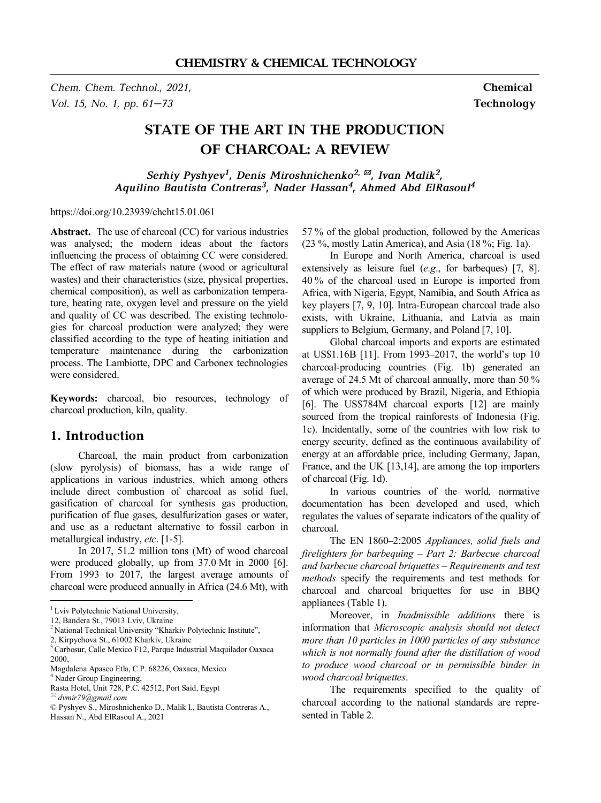*Chem. Chem. Technol., 2021,* **Chemical**  *Vol. 15, No. 1, pp. 61–73* **Technology** 

# **STATE OF THE ART IN THE PRODUCTION OF CHARCOAL: A REVIEW**

*Serhiy Pyshyev<sup>1</sup> , Denis Miroshnichenko2, \*, Ivan Malik<sup>2</sup> , Aquilino Bautista Contreras<sup>3</sup> , Nader Hassan<sup>4</sup> , Ahmed Abd ElRasoul<sup>4</sup>*

https://doi.org/10.23939/chcht15.01.061

Abstract. The use of charcoal (CC) for various industries was analysed; the modern ideas about the factors influencing the process of obtaining CC were considered. The effect of raw materials nature (wood or agricultural wastes) and their characteristics (size, physical properties, chemical composition), as well as carbonization temperature, heating rate, oxygen level and pressure on the yield and quality of CC was described. The existing technologies for charcoal production were analyzed; they were classified according to the type of heating initiation and temperature maintenance during the carbonization process. The Lambiotte, DPC and Carbonex technologies were considered.

**Keywords:** charcoal, bio resources, technology of charcoal production, kiln, quality.

# **1. Introduction**

Charcoal, the main product from carbonization (slow pyrolysis) of biomass, has a wide range of applications in various industries, which among others include direct combustion of charcoal as solid fuel, gasification of charcoal for synthesis gas production, purification of flue gases, desulfurization gases or water, and use as a reductant alternative to fossil carbon in metallurgical industry, *etc*. [1-5].

In 2017, 51.2 million tons (Mt) of wood charcoal were produced globally, up from 37.0 Mt in 2000 [6]. From 1993 to 2017, the largest average amounts of charcoal were produced annually in Africa (24.6 Mt), with

l

57 % of the global production, followed by the Americas (23 %, mostly Latin America), and Asia (18 %; Fig. 1a).

In Europe and North America, charcoal is used extensively as leisure fuel (*e.g*., for barbeques) [7, 8]. 40 % of the charcoal used in Europe is imported from Africa, with Nigeria, Egypt, Namibia, and South Africa as key players [7, 9, 10]. Intra-European charcoal trade also exists, with Ukraine, Lithuania, and Latvia as main suppliers to Belgium, Germany, and Poland [7, 10].

Global charcoal imports and exports are estimated at US\$1.16B [11]. From 1993–2017, the world's top 10 charcoal-producing countries (Fig. 1b) generated an average of 24.5 Mt of charcoal annually, more than 50 % of which were produced by Brazil, Nigeria, and Ethiopia [6]. The US\$784M charcoal exports [12] are mainly sourced from the tropical rainforests of Indonesia (Fig. 1c). Incidentally, some of the countries with low risk to energy security, defined as the continuous availability of energy at an affordable price, including Germany, Japan, France, and the UK [13,14], are among the top importers of charcoal (Fig. 1d).

In various countries of the world, normative documentation has been developed and used, which regulates the values of separate indicators of the quality of charcoal.

The EN 1860–2:2005 *Appliances, solid fuels and firelighters for barbequing – Part 2: Barbecue charcoal and barbecue charcoal briquettes – Requirements and test methods* specify the requirements and test methods for charcoal and charcoal briquettes for use in BBQ appliances (Table 1).

Moreover, in *Inadmissible additions* there is information that *Microscopic analysis should not detect more than 10 particles in 1000 particles of any substance which is not normally found after the distillation of wood to produce wood charcoal or in permissible binder in wood charcoal briquettes*.

The requirements specified to the quality of charcoal according to the national standards are represented in Table 2.

<sup>&</sup>lt;sup>1</sup> Lviv Polytechnic National University,

<sup>12,</sup> Bandera St., 79013 Lviv, Ukraine

<sup>&</sup>lt;sup>2</sup> National Technical University "Kharkiv Polytechnic Institute",

<sup>2,</sup> Kirpychova St., 61002 Kharkiv, Ukraine

<sup>3</sup>Carbosur, Calle Mexico F12, Parque Industrial Maquilador Oaxaca 2000,

Magdalena Apasco Etla, C.P. 68226, Oaxaca, Mexico <sup>4</sup> Nader Group Engineering,

Rasta Hotel, Unit 728, P.C. 42512, Port Said, Egypt

*<sup>\*</sup> dvmir79@gmail.com* 

<sup>©</sup> Pyshyev S., Miroshnichenko D., Malik I., Bautista Contreras A., Hassan N., Abd ElRasoul A., 2021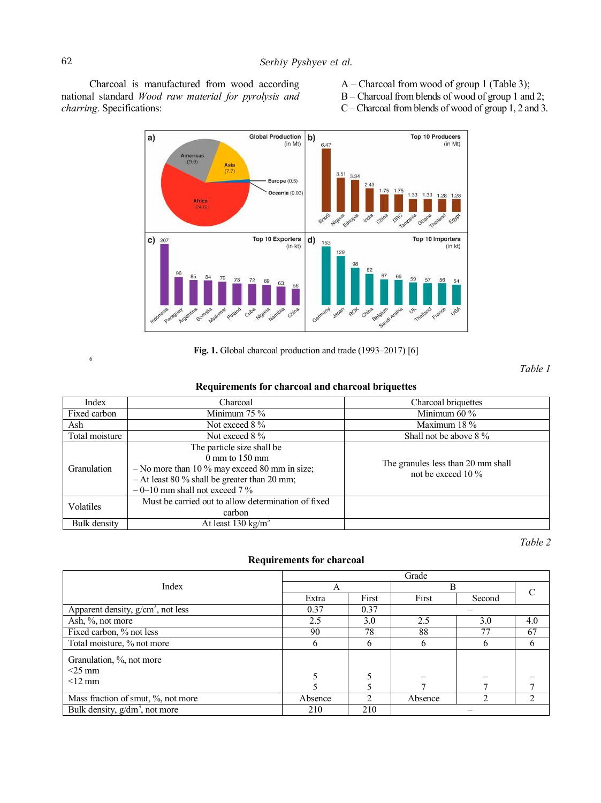Charcoal is manufactured from wood according national standard *Wood raw material for pyrolysis and charring*. Specifications:

- A Charcoal from wood of group 1 (Table 3);
- B Charcoal from blends of wood of group 1 and 2;
- C Charcoal fromblends of wood of group 1, 2 and 3.



**Fig. 1.** Global charcoal production and trade (1993–2017) [6]

*Table 1*

## **Requirements for charcoal and charcoal briquettes**

| Index          | Charcoal                                            | Charcoal briquettes                |  |  |  |
|----------------|-----------------------------------------------------|------------------------------------|--|--|--|
| Fixed carbon   | Minimum $75\%$                                      | Minimum $60\%$                     |  |  |  |
| Ash            | Not exceed 8 %                                      | Maximum 18 %                       |  |  |  |
| Total moisture | Not exceed 8 %                                      | Shall not be above 8 %             |  |  |  |
|                | The particle size shall be                          |                                    |  |  |  |
|                | $0 \text{ mm}$ to 150 mm                            | The granules less than 20 mm shall |  |  |  |
| Granulation    | $-$ No more than 10 % may exceed 80 mm in size;     | not be exceed $10\%$               |  |  |  |
|                | $-$ At least 80 % shall be greater than 20 mm;      |                                    |  |  |  |
|                | $-0$ –10 mm shall not exceed 7 %                    |                                    |  |  |  |
| Volatiles      | Must be carried out to allow determination of fixed |                                    |  |  |  |
|                | carbon                                              |                                    |  |  |  |
| Bulk density   | At least $130 \text{ kg/m}^3$                       |                                    |  |  |  |

*Table 2* 

### **Requirements for charcoal**

|                                                 | Grade   |       |         |        |     |  |  |  |  |
|-------------------------------------------------|---------|-------|---------|--------|-----|--|--|--|--|
| Index                                           | А       |       | B       |        |     |  |  |  |  |
|                                                 | Extra   | First | First   | Second |     |  |  |  |  |
| Apparent density, $g/cm3$ , not less            | 0.37    | 0.37  |         |        |     |  |  |  |  |
| Ash, %, not more                                | 2.5     | 3.0   | 2.5     | 3.0    | 4.0 |  |  |  |  |
| Fixed carbon, % not less                        | 90      | 78    | 88      | 77     | 67  |  |  |  |  |
| Total moisture, % not more                      | h       | 6     | h.      |        | b   |  |  |  |  |
| Granulation, %, not more                        |         |       |         |        |     |  |  |  |  |
| $<$ 25 mm                                       |         |       |         |        |     |  |  |  |  |
| $\leq$ 12 mm                                    |         |       |         |        |     |  |  |  |  |
|                                                 |         |       |         |        |     |  |  |  |  |
| Mass fraction of smut, %, not more              | Absence |       | Absence |        |     |  |  |  |  |
| Bulk density, $g/dm^3$ , not more<br>210<br>210 |         |       |         |        |     |  |  |  |  |

6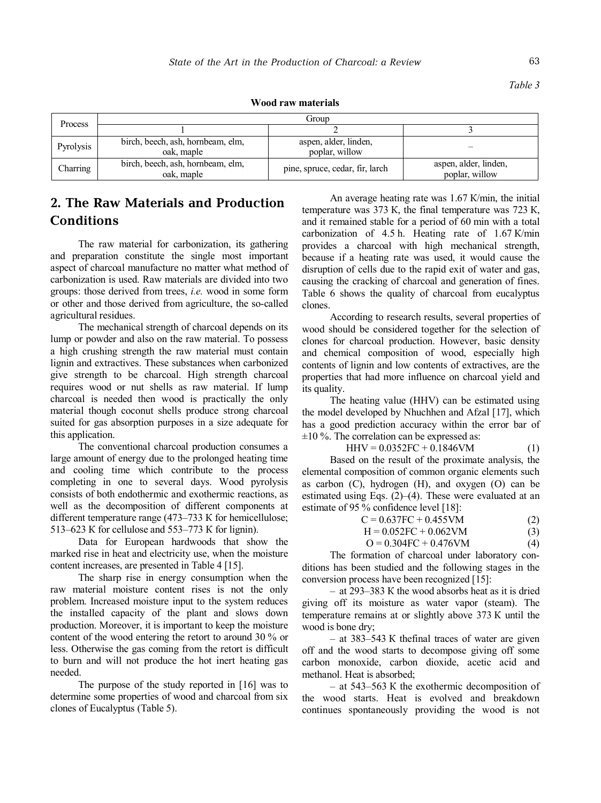*Table 3* 

**Wood raw materials** 

| Process   | Group                                           |                                         |                                         |  |  |  |  |  |
|-----------|-------------------------------------------------|-----------------------------------------|-----------------------------------------|--|--|--|--|--|
|           |                                                 |                                         |                                         |  |  |  |  |  |
| Pyrolysis | birch, beech, ash, hornbeam, elm,<br>oak, maple | aspen, alder, linden,<br>poplar, willow |                                         |  |  |  |  |  |
| Charring  | birch, beech, ash, hornbeam, elm,<br>oak, maple | pine, spruce, cedar, fir, larch         | aspen, alder, linden,<br>poplar, willow |  |  |  |  |  |

# **2. The Raw Materials and Production Conditions**

The raw material for carbonization, its gathering and preparation constitute the single most important aspect of charcoal manufacture no matter what method of carbonization is used. Raw materials are divided into two groups: those derived from trees, *i.e.* wood in some form or other and those derived from agriculture, the so-called agricultural residues.

The mechanical strength of charcoal depends on its lump or powder and also on the raw material. To possess a high crushing strength the raw material must contain lignin and extractives. These substances when carbonized give strength to be charcoal. High strength charcoal requires wood or nut shells as raw material. If lump charcoal is needed then wood is practically the only material though coconut shells produce strong charcoal suited for gas absorption purposes in a size adequate for this application.

The conventional charcoal production consumes a large amount of energy due to the prolonged heating time and cooling time which contribute to the process completing in one to several days. Wood pyrolysis consists of both endothermic and exothermic reactions, as well as the decomposition of different components at different temperature range (473–733 К for hemicellulose; 513–623 К for cellulose and 553–773 К for lignin).

Data for European hardwoods that show the marked rise in heat and electricity use, when the moisture content increases, are presented in Table 4 [15].

The sharp rise in energy consumption when the raw material moisture content rises is not the only problem. Increased moisture input to the system reduces the installed capacity of the plant and slows down production. Moreover, it is important to keep the moisture content of the wood entering the retort to around 30 % or less. Otherwise the gas coming from the retort is difficult to burn and will not produce the hot inert heating gas needed.

The purpose of the study reported in [16] was to determine some properties of wood and charcoal from six clones of Eucalyptus (Table 5).

An average heating rate was 1.67 К/min, the initial temperature was 373 К, the final temperature was 723 К, and it remained stable for a period of 60 min with a total carbonization of 4.5 h. Heating rate of 1.67 К/min provides a charcoal with high mechanical strength, because if a heating rate was used, it would cause the disruption of cells due to the rapid exit of water and gas, causing the cracking of charcoal and generation of fines. Table 6 shows the quality of charcoal from eucalyptus clones.

According to research results, several properties of wood should be considered together for the selection of clones for charcoal production. However, basic density and chemical composition of wood, especially high contents of lignin and low contents of extractives, are the properties that had more influence on charcoal yield and its quality.

The heating value (HHV) can be estimated using the model developed by Nhuchhen and Afzal [17], which has a good prediction accuracy within the error bar of  $\pm 10$  %. The correlation can be expressed as:

$$
HHV = 0.0352FC + 0.1846VM
$$
 (1)

Based on the result of the proximate analysis, the elemental composition of common organic elements such as carbon  $(C)$ , hydrogen  $(H)$ , and oxygen  $(O)$  can be estimated using Eqs. (2)–(4). These were evaluated at an estimate of 95 % confidence level [18]:

| $C = 0.637FC + 0.455VM$ |  |
|-------------------------|--|
|                         |  |

 $H = 0.052FC + 0.062VM$  (3)

 $Q = 0.304$ FC + 0.476VM (4)

The formation of charcoal under laboratory conditions has been studied and the following stages in the conversion process have been recognized [15]:

– at 293–383 К the wood absorbs heat as it is dried giving off its moisture as water vapor (steam). The temperature remains at or slightly above 373 К until the wood is bone dry;

– at 383–543 К thefinal traces of water are given off and the wood starts to decompose giving off some carbon monoxide, carbon dioxide, acetic acid and methanol. Heat is absorbed;

– at 543–563 К the exothermic decomposition of the wood starts. Heat is evolved and breakdown continues spontaneously providing the wood is not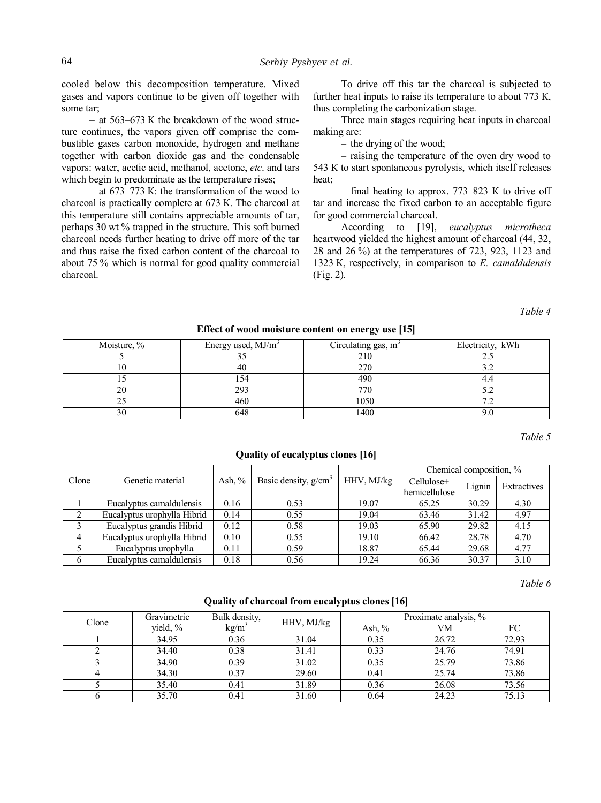cooled below this decomposition temperature. Mixed gases and vapors continue to be given off together with some tar;

– at 563–673 К the breakdown of the wood structure continues, the vapors given off comprise the combustible gases carbon monoxide, hydrogen and methane together with carbon dioxide gas and the condensable vapors: water, acetic acid, methanol, acetone, *etc*. and tars which begin to predominate as the temperature rises:

– at 673–773 К: the transformation of the wood to charcoal is practically complete at 673 К. The charcoal at this temperature still contains appreciable amounts of tar, perhaps 30 wt % trapped in the structure. This soft burned charcoal needs further heating to drive off more of the tar and thus raise the fixed carbon content of the charcoal to about 75 % which is normal for good quality commercial charcoal.

To drive off this tar the charcoal is subjected to further heat inputs to raise its temperature to about 773 K, thus completing the carbonization stage.

Three main stages requiring heat inputs in charcoal making are:

– the drying of the wood;

– raising the temperature of the oven dry wood to 543 К to start spontaneous pyrolysis, which itself releases heat;

– final heating to approx. 773–823 К to drive off tar and increase the fixed carbon to an acceptable figure for good commercial charcoal.

According to [19], *eucalyptus microtheca* heartwood yielded the highest amount of charcoal (44, 32, 28 and 26 %) at the temperatures of 723, 923, 1123 and 1323 К, respectively, in comparison to *E. camaldulensis* (Fig. 2).

*Table 4* 

| Energy used, $MJ/m3$ | Circulating gas, m <sup>3</sup> | Electricity, kWh |
|----------------------|---------------------------------|------------------|
|                      | 210                             |                  |
|                      | 270                             |                  |
|                      | 490                             |                  |
| 293                  | 770                             |                  |
| 460                  | 1050                            |                  |
|                      | 400                             |                  |
|                      |                                 |                  |

#### **Effect of wood moisture content on energy use [15]**

*Table 5* 

|       |                             |           |                        |            | Chemical composition, % |        |             |  |
|-------|-----------------------------|-----------|------------------------|------------|-------------------------|--------|-------------|--|
| Clone | Genetic material            | Ash, $\%$ | Basic density, $g/cm3$ | HHV, MJ/kg | Cellulose+              | Lignin | Extractives |  |
|       |                             |           |                        |            | hemicellulose           |        |             |  |
|       | Eucalyptus camaldulensis    | 0.16      | 0.53                   | 19.07      | 65.25                   | 30.29  | 4.30        |  |
|       | Eucalyptus urophylla Hibrid | 0.14      | 0.55                   | 19.04      | 63.46                   | 31.42  | 4.97        |  |
| 3     | Eucalyptus grandis Hibrid   | 0.12      | 0.58                   | 19.03      | 65.90                   | 29.82  | 4.15        |  |
| 4     | Eucalyptus urophylla Hibrid | 0.10      | 0.55                   | 19.10      | 66.42                   | 28.78  | 4.70        |  |
|       | Eucalyptus urophylla        | 0.11      | 0.59                   | 18.87      | 65.44                   | 29.68  | 4.77        |  |
| 6     | Eucalyptus camaldulensis    | 0.18      | 0.56                   | 19.24      | 66.36                   | 30.37  | 3.10        |  |

**Quality of eucalyptus clones [16]** 

*Table 6* 

| Clone | Gravimetric          | Bulk density, | HHV, MJ/kg | Proximate analysis, % |       |       |  |  |
|-------|----------------------|---------------|------------|-----------------------|-------|-------|--|--|
|       | $kg/m^3$<br>yield, % |               | Ash, $\%$  | VM                    | FC    |       |  |  |
|       | 34.95                | 0.36          | 31.04      | 0.35                  | 26.72 | 72.93 |  |  |
|       | 34.40                | 0.38          | 31.41      | 0.33                  | 24.76 | 74.91 |  |  |
|       | 34.90                | 0.39          | 31.02      | 0.35                  | 25.79 | 73.86 |  |  |
|       | 34.30                | 0.37          | 29.60      | 0.41                  | 25.74 | 73.86 |  |  |
|       | 35.40                | 0.41          | 31.89      | 0.36                  | 26.08 | 73.56 |  |  |
|       | 35.70                | 0.41          | 31.60      | 0.64                  | 24.23 | 75.13 |  |  |

#### **Quality of charcoal from eucalyptus clones [16]**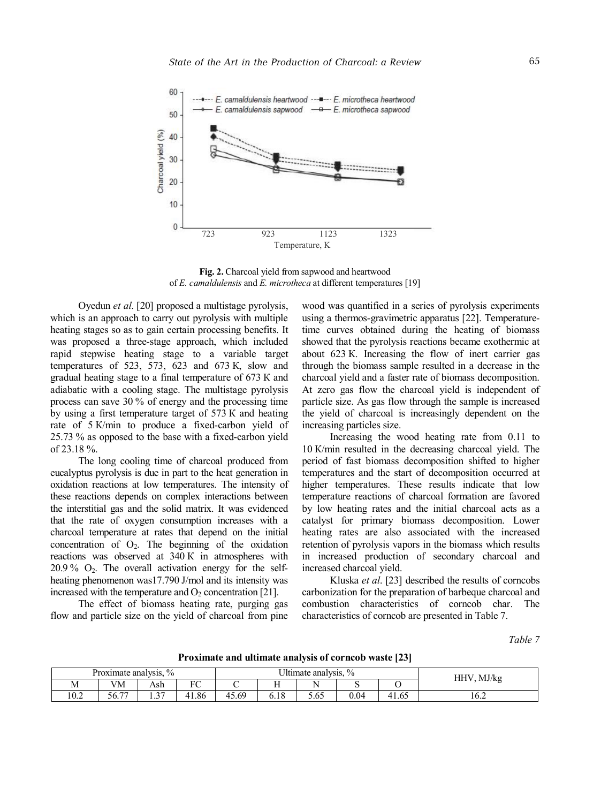

**Fig. 2.** Charcoal yield from sapwood and heartwood of *E. camaldulensis* and *E. microtheca* at different temperatures [19]

Oyedun *et al*. [20] proposed a multistage pyrolysis, which is an approach to carry out pyrolysis with multiple heating stages so as to gain certain processing benefits. It was proposed a three-stage approach, which included rapid stepwise heating stage to a variable target temperatures of 523, 573, 623 and 673 К, slow and gradual heating stage to a final temperature of 673 К and adiabatic with a cooling stage. The multistage pyrolysis process can save 30 % of energy and the processing time by using a first temperature target of 573 К and heating rate of 5 К/min to produce a fixed-carbon yield of 25.73 % as opposed to the base with a fixed-carbon yield of 23.18 %.

The long cooling time of charcoal produced from eucalyptus pyrolysis is due in part to the heat generation in oxidation reactions at low temperatures. The intensity of these reactions depends on complex interactions between the interstitial gas and the solid matrix. It was evidenced that the rate of oxygen consumption increases with a charcoal temperature at rates that depend on the initial concentration of  $O_2$ . The beginning of the oxidation reactions was observed at 340 К in atmospheres with  $20.9\%$  O<sub>2</sub>. The overall activation energy for the selfheating phenomenon was17.790 J/mol and its intensity was increased with the temperature and  $O_2$  concentration [21].

The effect of biomass heating rate, purging gas flow and particle size on the yield of charcoal from pine wood was quantified in a series of pyrolysis experiments using a thermos-gravimetric apparatus [22]. Temperaturetime curves obtained during the heating of biomass showed that the pyrolysis reactions became exothermic at about 623 К. Increasing the flow of inert carrier gas through the biomass sample resulted in a decrease in the charcoal yield and a faster rate of biomass decomposition. At zero gas flow the charcoal yield is independent of particle size. As gas flow through the sample is increased the yield of charcoal is increasingly dependent on the increasing particles size.

Increasing the wood heating rate from 0.11 to 10 К/min resulted in the decreasing charcoal yield. The period of fast biomass decomposition shifted to higher temperatures and the start of decomposition occurred at higher temperatures. These results indicate that low temperature reactions of charcoal formation are favored by low heating rates and the initial charcoal acts as a catalyst for primary biomass decomposition. Lower heating rates are also associated with the increased retention of pyrolysis vapors in the biomass which results in increased production of secondary charcoal and increased charcoal yield.

Kluska *et al*. [23] described the results of corncobs carbonization for the preparation of barbeque charcoal and combustion characteristics of corncob char. The characteristics of corncob are presented in Table 7.

*Table 7* 

|           |                       |             |               |       |                                 |                     |           | . .<br>__ |      |
|-----------|-----------------------|-------------|---------------|-------|---------------------------------|---------------------|-----------|-----------|------|
|           | Proximate analysis.   | $\%$        |               |       | <sup>I</sup> Iltimate analysis, | MJ/kg<br><b>HHV</b> |           |           |      |
| <b>NI</b> | <b>TTM</b><br>/M      | Ash         | $\sim$ $\sim$ |       | <b>COLOR</b><br>. .             |                     |           |           |      |
| 10.2      | $\overline{a}$<br>56. | $\sim$<br>. | 41.86         | 15.69 | 6.I 8                           | 5.65                | $_{0.04}$ | 1.65      | 10.2 |

**Proximate and ultimate analysis of corncob waste [23]**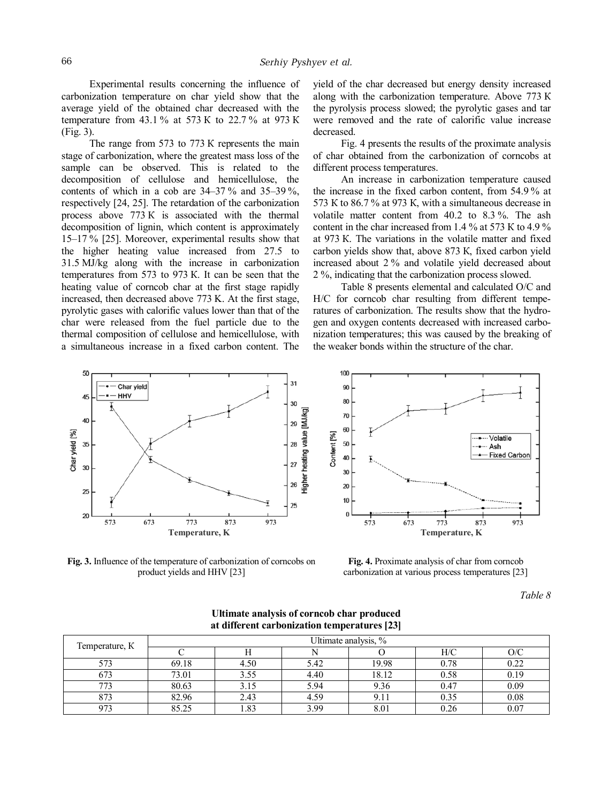Experimental results concerning the influence of carbonization temperature on char yield show that the average yield of the obtained char decreased with the temperature from 43.1 % at 573 К to 22.7 % at 973 К (Fig. 3).

The range from 573 to 773 K represents the main stage of carbonization, where the greatest mass loss of the sample can be observed. This is related to the decomposition of cellulose and hemicellulose, the contents of which in a cob are  $34-37\%$  and  $35-39\%$ , respectively [24, 25]. The retardation of the carbonization process above 773 К is associated with the thermal decomposition of lignin, which content is approximately 15–17 % [25]. Moreover, experimental results show that the higher heating value increased from 27.5 to 31.5 MJ/kg along with the increase in carbonization temperatures from 573 to 973 К. It can be seen that the heating value of corncob char at the first stage rapidly increased, then decreased above 773 K. At the first stage, pyrolytic gases with calorific values lower than that of the char were released from the fuel particle due to the thermal composition of cellulose and hemicellulose, with a simultaneous increase in a fixed carbon content. The

yield of the char decreased but energy density increased along with the carbonization temperature. Above 773 К the pyrolysis process slowed; the pyrolytic gases and tar were removed and the rate of calorific value increase decreased.

Fig. 4 presents the results of the proximate analysis of char obtained from the carbonization of corncobs at different process temperatures.

An increase in carbonization temperature caused the increase in the fixed carbon content, from 54.9 % at 573 К to 86.7 % at 973 К, with a simultaneous decrease in volatile matter content from 40.2 to 8.3 %. The ash content in the char increased from 1.4 % at 573 К to 4.9 % at 973 К. The variations in the volatile matter and fixed carbon yields show that, above 873 К, fixed carbon yield increased about 2 % and volatile yield decreased about 2 %, indicating that the carbonization process slowed.

Table 8 presents elemental and calculated O/C and H/C for corncob char resulting from different temperatures of carbonization. The results show that the hydrogen and oxygen contents decreased with increased carbonization temperatures; this was caused by the breaking of the weaker bonds within the structure of the char.



**Fig. 3.** Influence of the temperature of carbonization of corncobs on product yields and HHV [23]



**Fig. 4.** Proximate analysis of char from corncob carbonization at various process temperatures [23]

*Table 8* 

| Temperature, K | Ultimate analysis, % |      |      |       |      |          |  |  |  |  |
|----------------|----------------------|------|------|-------|------|----------|--|--|--|--|
|                |                      |      |      |       | H/C  | O/C      |  |  |  |  |
| 573            | 69.18                | 4.50 | 5.42 | 19.98 | 0.78 | 0.22     |  |  |  |  |
| 673            | 73.01                | 3.55 | 4.40 | 18.12 | 0.58 | 0.19     |  |  |  |  |
| 773            | 80.63                | 3.15 | 5.94 | 9.36  | 0.47 | 0.09     |  |  |  |  |
| 873            | 82.96                | 2.43 | 4.59 | 9.11  | 0.35 | 0.08     |  |  |  |  |
| 973            | 85.25                | 1.83 | 3.99 | 8.01  |      | $0.07\,$ |  |  |  |  |

**Ultimate analysis of corncob char produced at different carbonization temperatures [23]**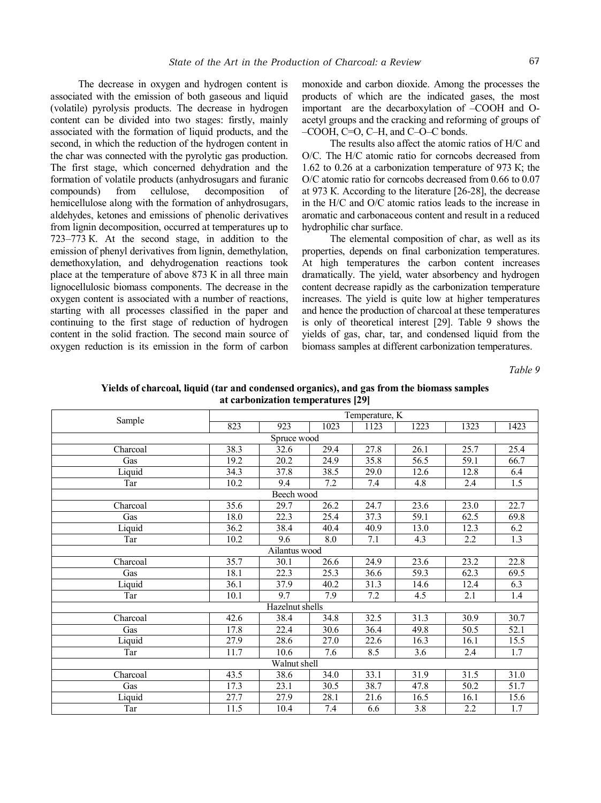The decrease in oxygen and hydrogen content is associated with the emission of both gaseous and liquid (volatile) pyrolysis products. The decrease in hydrogen content can be divided into two stages: firstly, mainly associated with the formation of liquid products, and the second, in which the reduction of the hydrogen content in the char was connected with the pyrolytic gas production. The first stage, which concerned dehydration and the formation of volatile products (anhydrosugars and furanic compounds) from cellulose, decomposition of hemicellulose along with the formation of anhydrosugars, aldehydes, ketones and emissions of phenolic derivatives from lignin decomposition, occurred at temperatures up to 723–773 К. At the second stage, in addition to the emission of phenyl derivatives from lignin, demethylation, demethoxylation, and dehydrogenation reactions took place at the temperature of above 873 К in all three main lignocellulosic biomass components. The decrease in the oxygen content is associated with a number of reactions, starting with all processes classified in the paper and continuing to the first stage of reduction of hydrogen content in the solid fraction. The second main source of oxygen reduction is its emission in the form of carbon

monoxide and carbon dioxide. Among the processes the products of which are the indicated gases, the most important are the decarboxylation of –COOH and Oacetyl groups and the cracking and reforming of groups of –COOH, C=O, C–H, and C–O–C bonds.

The results also affect the atomic ratios of H/C and O/C. The H/C atomic ratio for corncobs decreased from 1.62 to 0.26 at a carbonization temperature of 973 К; the O/C atomic ratio for corncobs decreased from 0.66 to 0.07 at 973 К. According to the literature [26-28], the decrease in the H/C and O/C atomic ratios leads to the increase in aromatic and carbonaceous content and result in a reduced hydrophilic char surface.

The elemental composition of char, as well as its properties, depends on final carbonization temperatures. At high temperatures the carbon content increases dramatically. The yield, water absorbency and hydrogen content decrease rapidly as the carbonization temperature increases. The yield is quite low at higher temperatures and hence the production of charcoal at these temperatures is only of theoretical interest [29]. Table 9 shows the yields of gas, char, tar, and condensed liquid from the biomass samples at different carbonization temperatures.

*Table 9* 

| Yields of charcoal, liquid (tar and condensed organics), and gas from the biomass samples |  |
|-------------------------------------------------------------------------------------------|--|
| at carbonization temperatures [29]                                                        |  |

|               |      |                 |      | Temperature, K    |                  |      |                   |  |  |  |  |
|---------------|------|-----------------|------|-------------------|------------------|------|-------------------|--|--|--|--|
| Sample        | 823  | 923             | 1023 | 1123              | 1223             | 1323 | 1423              |  |  |  |  |
|               |      | Spruce wood     |      |                   |                  |      |                   |  |  |  |  |
| Charcoal      | 38.3 | 32.6            | 29.4 | 27.8              | 26.1             | 25.7 | 25.4              |  |  |  |  |
| Gas           | 19.2 | 20.2            | 24.9 | 35.8              | 56.5             | 59.1 | 66.7              |  |  |  |  |
| Liquid        | 34.3 | 37.8            | 38.5 | $\overline{29.0}$ | 12.6             | 12.8 | 6.4               |  |  |  |  |
| Tar           | 10.2 | 9.4             | 7.2  | 7.4               | 4.8              | 2.4  | 1.5               |  |  |  |  |
|               |      | Beech wood      |      |                   |                  |      |                   |  |  |  |  |
| Charcoal      | 35.6 | 29.7            | 26.2 | 24.7              | 23.6             | 23.0 | 22.7              |  |  |  |  |
| Gas           | 18.0 | 22.3            | 25.4 | 37.3              | 59.1             | 62.5 | 69.8              |  |  |  |  |
| Liquid        | 36.2 | 38.4            | 40.4 | 40.9              | 13.0             | 12.3 | 6.2               |  |  |  |  |
| Tar           | 10.2 | 9.6             | 8.0  | 7.1               | 4.3              | 2.2  | 1.3               |  |  |  |  |
| Ailantus wood |      |                 |      |                   |                  |      |                   |  |  |  |  |
| Charcoal      | 35.7 | 30.1            | 26.6 | 24.9              | 23.6             | 23.2 | 22.8              |  |  |  |  |
| Gas           | 18.1 | 22.3            | 25.3 | 36.6              | 59.3             | 62.3 | 69.5              |  |  |  |  |
| Liquid        | 36.1 | 37.9            | 40.2 | 31.3              | 14.6             | 12.4 | 6.3               |  |  |  |  |
| Tar           | 10.1 | 9.7             | 7.9  | 7.2               | 4.5              | 2.1  | 1.4               |  |  |  |  |
|               |      | Hazelnut shells |      |                   |                  |      |                   |  |  |  |  |
| Charcoal      | 42.6 | 38.4            | 34.8 | 32.5              | 31.3             | 30.9 | 30.7              |  |  |  |  |
| Gas           | 17.8 | 22.4            | 30.6 | 36.4              | 49.8             | 50.5 | 52.1              |  |  |  |  |
| Liquid        | 27.9 | 28.6            | 27.0 | 22.6              | 16.3             | 16.1 | 15.5              |  |  |  |  |
| Tar           | 11.7 | 10.6            | 7.6  | 8.5               | $\overline{3.6}$ | 2.4  | 1.7               |  |  |  |  |
|               |      | Walnut shell    |      |                   |                  |      |                   |  |  |  |  |
| Charcoal      | 43.5 | 38.6            | 34.0 | 33.1              | 31.9             | 31.5 | 31.0              |  |  |  |  |
| Gas           | 17.3 | 23.1            | 30.5 | 38.7              | 47.8             | 50.2 | $\overline{51.7}$ |  |  |  |  |
| Liquid        | 27.7 | 27.9            | 28.1 | 21.6              | 16.5             | 16.1 | 15.6              |  |  |  |  |
| Tar           | 11.5 | 10.4            | 7.4  | 6.6               | 3.8              | 2.2  | 1.7               |  |  |  |  |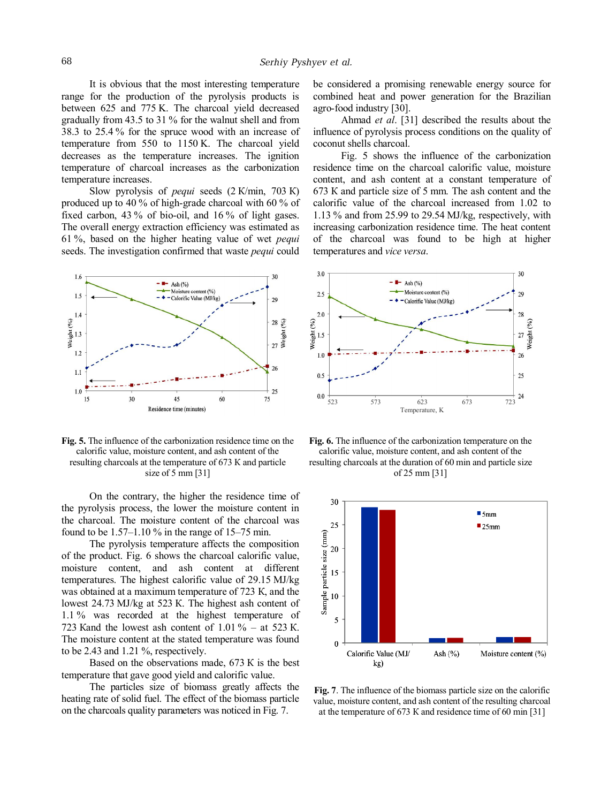It is obvious that the most interesting temperature range for the production of the pyrolysis products is between 625 and 775 K. The charcoal yield decreased gradually from 43.5 to 31 % for the walnut shell and from 38.3 to 25.4 % for the spruce wood with an increase of temperature from 550 to 1150 K. The charcoal yield decreases as the temperature increases. The ignition temperature of charcoal increases as the carbonization temperature increases.

Slow pyrolysis of *pequi* seeds (2 К/min, 703 К) produced up to 40 % of high-grade charcoal with 60 % of fixed carbon, 43 % of bio-oil, and 16 % of light gases. The overall energy extraction efficiency was estimated as 61 %, based on the higher heating value of wet *pequi* seeds. The investigation confirmed that waste *pequi* could



**Fig. 5.** The influence of the carbonization residence time on the calorific value, moisture content, and ash content of the resulting charcoals at the temperature of 673 К and particle size of 5 mm [31]

On the contrary, the higher the residence time of the pyrolysis process, the lower the moisture content in the charcoal. The moisture content of the charcoal was found to be  $1.57-1.10\%$  in the range of  $15-75$  min.

The pyrolysis temperature affects the composition of the product. Fig. 6 shows the charcoal calorific value, moisture content, and ash content at different temperatures. The highest calorific value of 29.15 MJ/kg was obtained at a maximum temperature of 723 К, and the lowest 24.73 MJ/kg at 523 К. The highest ash content of 1.1 % was recorded at the highest temperature of 723 Kand the lowest ash content of  $1.01\%$  – at 523 K. The moisture content at the stated temperature was found to be 2.43 and 1.21 %, respectively.

Based on the observations made, 673 К is the best temperature that gave good yield and calorific value.

The particles size of biomass greatly affects the heating rate of solid fuel. The effect of the biomass particle on the charcoals quality parameters was noticed in Fig. 7.

be considered a promising renewable energy source for combined heat and power generation for the Brazilian agro-food industry [30].

Ahmad *et al*. [31] described the results about the influence of pyrolysis process conditions on the quality of coconut shells charcoal.

Fig. 5 shows the influence of the carbonization residence time on the charcoal calorific value, moisture content, and ash content at a constant temperature of 673 К and particle size of 5 mm. The ash content and the calorific value of the charcoal increased from 1.02 to 1.13 % and from 25.99 to 29.54 MJ/kg, respectively, with increasing carbonization residence time. The heat content of the charcoal was found to be high at higher temperatures and *vice versa*.



**Fig. 6.** The influence of the carbonization temperature on the calorific value, moisture content, and ash content of the resulting charcoals at the duration of 60 min and particle size of 25 mm [31]



**Fig. 7**. The influence of the biomass particle size on the calorific value, moisture content, and ash content of the resulting charcoal at the temperature of 673 К and residence time of 60 min [31]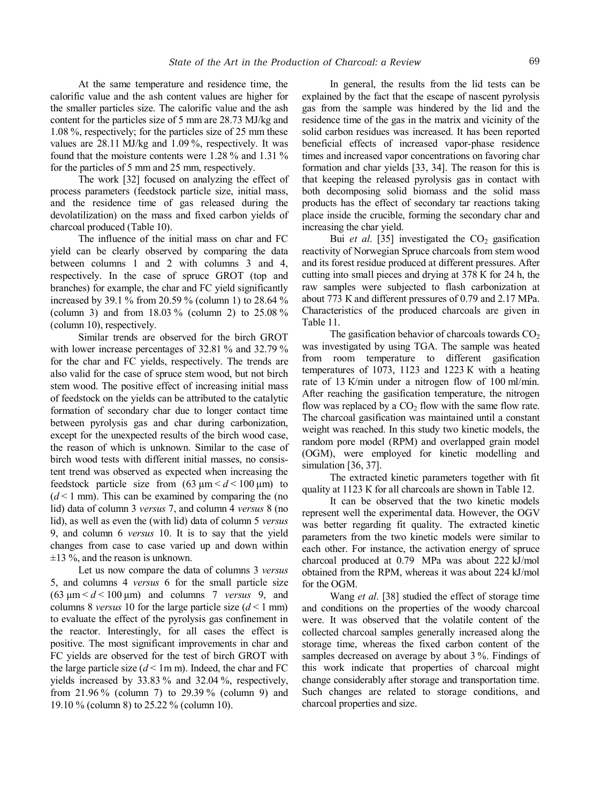At the same temperature and residence time, the calorific value and the ash content values are higher for the smaller particles size. The calorific value and the ash content for the particles size of 5 mm are 28.73 MJ/kg and 1.08 %, respectively; for the particles size of 25 mm these values are 28.11 MJ/kg and 1.09 %, respectively. It was found that the moisture contents were 1.28 % and 1.31 % for the particles of 5 mm and 25 mm, respectively.

The work [32] focused on analyzing the effect of process parameters (feedstock particle size, initial mass, and the residence time of gas released during the devolatilization) on the mass and fixed carbon yields of charcoal produced (Table 10).

The influence of the initial mass on char and FC yield can be clearly observed by comparing the data between columns 1 and 2 with columns 3 and 4, respectively. In the case of spruce GROT (top and branches) for example, the char and FC yield significantly increased by 39.1 % from 20.59 % (column 1) to 28.64 % (column 3) and from 18.03 % (column 2) to 25.08 % (column 10), respectively.

Similar trends are observed for the birch GROT with lower increase percentages of 32.81 % and 32.79 % for the char and FC yields, respectively. The trends are also valid for the case of spruce stem wood, but not birch stem wood. The positive effect of increasing initial mass of feedstock on the yields can be attributed to the catalytic formation of secondary char due to longer contact time between pyrolysis gas and char during carbonization, except for the unexpected results of the birch wood case, the reason of which is unknown. Similar to the case of birch wood tests with different initial masses, no consistent trend was observed as expected when increasing the feedstock particle size from  $(63 \text{ µm} < d < 100 \text{ µm})$  to  $(d \le 1$  mm). This can be examined by comparing the (no lid) data of column 3 *versus* 7, and column 4 *versus* 8 (no lid), as well as even the (with lid) data of column 5 *versus* 9, and column 6 *versus* 10. It is to say that the yield changes from case to case varied up and down within  $\pm$ 13 %, and the reason is unknown.

Let us now compare the data of columns 3 *versus* 5, and columns 4 *versus* 6 for the small particle size  $(63 \text{ }\mu\text{m} < d < 100 \text{ }\mu\text{m})$  and columns 7 *versus* 9, and columns 8 *versus* 10 for the large particle size  $(d < 1$  mm) to evaluate the effect of the pyrolysis gas confinement in the reactor. Interestingly, for all cases the effect is positive. The most significant improvements in char and FC yields are observed for the test of birch GROT with the large particle size  $(d < 1m m)$ . Indeed, the char and FC yields increased by 33.83 % and 32.04 %, respectively, from 21.96 % (column 7) to 29.39 % (column 9) and 19.10 % (column 8) to 25.22 % (column 10).

In general, the results from the lid tests can be explained by the fact that the escape of nascent pyrolysis gas from the sample was hindered by the lid and the residence time of the gas in the matrix and vicinity of the solid carbon residues was increased. It has been reported beneficial effects of increased vapor-phase residence times and increased vapor concentrations on favoring char formation and char yields [33, 34]. The reason for this is that keeping the released pyrolysis gas in contact with both decomposing solid biomass and the solid mass products has the effect of secondary tar reactions taking place inside the crucible, forming the secondary char and increasing the char yield.

Bui *et al.* [35] investigated the  $CO<sub>2</sub>$  gasification reactivity of Norwegian Spruce charcoals from stem wood and its forest residue produced at different pressures. After cutting into small pieces and drying at 378 К for 24 h, the raw samples were subjected to flash carbonization at about 773 К and different pressures of 0.79 and 2.17 MPa. Characteristics of the produced charcoals are given in Table 11.

The gasification behavior of charcoals towards  $CO<sub>2</sub>$ was investigated by using TGA. The sample was heated from room temperature to different gasification temperatures of 1073, 1123 and 1223 К with a heating rate of 13 К/min under a nitrogen flow of 100 ml/min. After reaching the gasification temperature, the nitrogen flow was replaced by a  $CO<sub>2</sub>$  flow with the same flow rate. The charcoal gasification was maintained until a constant weight was reached. In this study two kinetic models, the random pore model (RPM) and overlapped grain model (OGM), were employed for kinetic modelling and simulation [36, 37].

The extracted kinetic parameters together with fit quality at 1123 К for all charcoals are shown in Table 12.

It can be observed that the two kinetic models represent well the experimental data. However, the OGV was better regarding fit quality. The extracted kinetic parameters from the two kinetic models were similar to each other. For instance, the activation energy of spruce charcoal produced at 0.79 MPa was about 222 kJ/mol obtained from the RPM, whereas it was about 224 kJ/mol for the OGM.

Wang *et al*. [38] studied the effect of storage time and conditions on the properties of the woody charcoal were. It was observed that the volatile content of the collected charcoal samples generally increased along the storage time, whereas the fixed carbon content of the samples decreased on average by about 3 %. Findings of this work indicate that properties of charcoal might change considerably after storage and transportation time. Such changes are related to storage conditions, and charcoal properties and size.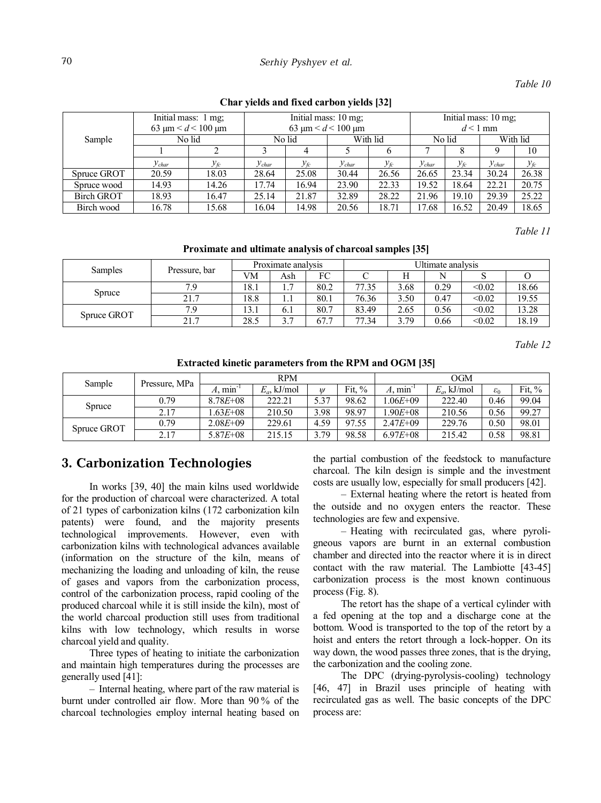## 70 *Serhiy Pyshyev et al.*

### *Table 10*

|                   | 63 µm $\leq d \leq 100$ µm | Initial mass: 1 mg, |            | Initial mass: 10 mg;<br>$d < 1$ mm |            |                 |            |                   |            |          |
|-------------------|----------------------------|---------------------|------------|------------------------------------|------------|-----------------|------------|-------------------|------------|----------|
| Sample            | No lid                     |                     | No lid     |                                    | With lid   |                 | No lid     |                   | With lid   |          |
|                   |                            |                     |            | 4                                  |            | 6               |            | 8                 |            | 10       |
|                   | $y_{char}$                 | $y_{\text{fc}}$     | $y_{char}$ | $y_{\textit{fc}}$                  | $y_{char}$ | $y_{\text{fc}}$ | $y_{char}$ | $y_{\textit{fc}}$ | $y_{char}$ | $y_{fc}$ |
| Spruce GROT       | 20.59                      | 18.03               | 28.64      | 25.08                              | 30.44      | 26.56           | 26.65      | 23.34             | 30.24      | 26.38    |
| Spruce wood       | 14.93                      | 14.26               | 17.74      | 16.94                              | 23.90      | 22.33           | 19.52      | 18.64             | 22.21      | 20.75    |
| <b>Birch GROT</b> | 18.93                      | 16.47               | 25.14      | 21.87                              | 32.89      | 28.22           | 21.96      | 19.10             | 29.39      | 25.22    |
| Birch wood        | 16.78                      | 15.68               | 16.04      | 14.98                              | 20.56      | 18.71           | 17.68      | 16.52             | 20.49      | 18.65    |

#### **Char yields and fixed carbon yields [32]**

*Table 11* 

**Proximate and ultimate analysis of charcoal samples [35]** 

| <b>Samples</b> | Pressure, bar | Proximate analysis |                       |                        | Ultimate analysis |      |      |        |       |  |
|----------------|---------------|--------------------|-----------------------|------------------------|-------------------|------|------|--------|-------|--|
|                |               | VM                 | Ash                   | FC                     |                   |      |      |        |       |  |
| Spruce         | 7 G           | 18.1               | $\overline{ }$<br>    | 80.2                   | 77.35             | 3.68 | 0.29 | < 0.02 | 18.66 |  |
|                | 21.7          | 18.8               | 1.1                   | 80.1                   | 76.36             | 3.50 | 0.47 | < 0.02 | 19.55 |  |
| Spruce GROT    | 79            | 13.1               | 6.1                   | 80.7                   | 83.49             | 2.65 | 0.56 | < 0.02 | 13.28 |  |
|                | 21.7          | 28.5               | $\gamma$ $\pi$<br>. د | 67.1<br>$\overline{ }$ | 77.34             | 3.79 | 0.66 | < 0.02 | 18.19 |  |

*Table 12* 

**Extracted kinetic parameters from the RPM and OGM [35]** 

| Sample      | Pressure, MPa |                      | <b>RPM</b>     |               | <b>OGM</b> |              |                |                 |          |
|-------------|---------------|----------------------|----------------|---------------|------------|--------------|----------------|-----------------|----------|
|             |               | $A, \text{min}^{-1}$ | $E_a$ , kJ/mol | $\mathcal{U}$ | Fit, $\%$  | $A.$ min     | $E_a$ , kJ/mol | $\varepsilon_0$ | Fit. $%$ |
| Spruce      | 0.79          | $8.78E + 08$         | 222.21         | 5.37          | 98.62      | $.06E + 09$  | 222.40         | 0.46            | 99.04    |
|             | 2.17          | $.63E + 08$          | 210.50         | 3.98          | 98.97      | $.90E + 08$  | 210.56         | 0.56            | 99.27    |
| Spruce GROT | 0.79          | $2.08E + 09$         | 229.61         | 4.59          | 97.55      | $2.47E + 09$ | 229.76         | 0.50            | 98.01    |
|             | 2.17          | $5.87E + 08$         | 215.15         | 5.79          | 98.58      | $6.97E + 08$ | 215.42         | 0.58            | 98.81    |

# **3. Carbonization Technologies**

In works [39, 40] the main kilns used worldwide for the production of charcoal were characterized. A total of 21 types of carbonization kilns (172 carbonization kiln patents) were found, and the majority presents technological improvements. However, even with carbonization kilns with technological advances available (information on the structure of the kiln, means of mechanizing the loading and unloading of kiln, the reuse of gases and vapors from the carbonization process, control of the carbonization process, rapid cooling of the produced charcoal while it is still inside the kiln), most of the world charcoal production still uses from traditional kilns with low technology, which results in worse charcoal yield and quality.

Three types of heating to initiate the carbonization and maintain high temperatures during the processes are generally used [41]:

– Internal heating, where part of the raw material is burnt under controlled air flow. More than 90 % of the charcoal technologies employ internal heating based on the partial combustion of the feedstock to manufacture charcoal. The kiln design is simple and the investment costs are usually low, especially for small producers [42].

– External heating where the retort is heated from the outside and no oxygen enters the reactor. These technologies are few and expensive.

– Heating with recirculated gas, where pyroligneous vapors are burnt in an external combustion chamber and directed into the reactor where it is in direct contact with the raw material. The Lambiotte [43-45] carbonization process is the most known continuous process (Fig. 8).

The retort has the shape of a vertical cylinder with a fed opening at the top and a discharge cone at the bottom. Wood is transported to the top of the retort by a hoist and enters the retort through a lock-hopper. On its way down, the wood passes three zones, that is the drying, the carbonization and the cooling zone.

The DPC (drying-pyrolysis-cooling) technology [46, 47] in Brazil uses principle of heating with recirculated gas as well. The basic concepts of the DPC process are: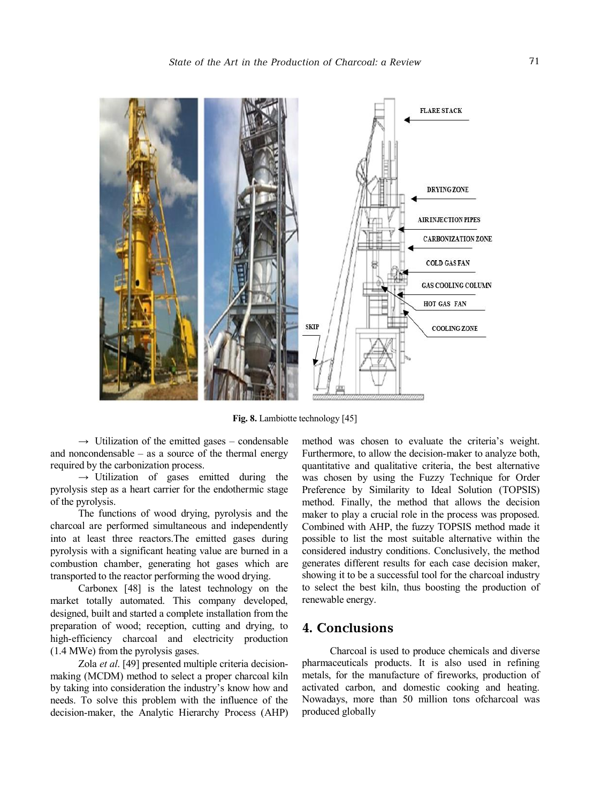

**Fig. 8.** Lambiotte technology [45]

 $\rightarrow$  Utilization of the emitted gases – condensable and noncondensable  $-$  as a source of the thermal energy required by the carbonization process.

 $\rightarrow$  Utilization of gases emitted during the pyrolysis step as a heart carrier for the endothermic stage of the pyrolysis.

The functions of wood drying, pyrolysis and the charcoal are performed simultaneous and independently into at least three reactors.The emitted gases during pyrolysis with a significant heating value are burned in a combustion chamber, generating hot gases which are transported to the reactor performing the wood drying.

Carbonex [48] is the latest technology on the market totally automated. This company developed, designed, built and started a complete installation from the preparation of wood; reception, cutting and drying, to high-efficiency charcoal and electricity production (1.4 MWe) from the pyrolysis gases.

Zola *et al*. [49] presented multiple criteria decisionmaking (MCDM) method to select a proper charcoal kiln by taking into consideration the industry's know how and needs. To solve this problem with the influence of the decision-maker, the Analytic Hierarchy Process (AHP)

method was chosen to evaluate the criteria's weight. Furthermore, to allow the decision-maker to analyze both, quantitative and qualitative criteria, the best alternative was chosen by using the Fuzzy Technique for Order Preference by Similarity to Ideal Solution (TOPSIS) method. Finally, the method that allows the decision maker to play a crucial role in the process was proposed. Combined with AHP, the fuzzy TOPSIS method made it possible to list the most suitable alternative within the considered industry conditions. Conclusively, the method generates different results for each case decision maker, showing it to be a successful tool for the charcoal industry to select the best kiln, thus boosting the production of renewable energy.

# **4. Conclusions**

Charcoal is used to produce chemicals and diverse pharmaceuticals products. It is also used in refining metals, for the manufacture of fireworks, production of activated carbon, and domestic cooking and heating. Nowadays, more than 50 million tons ofcharcoal was produced globally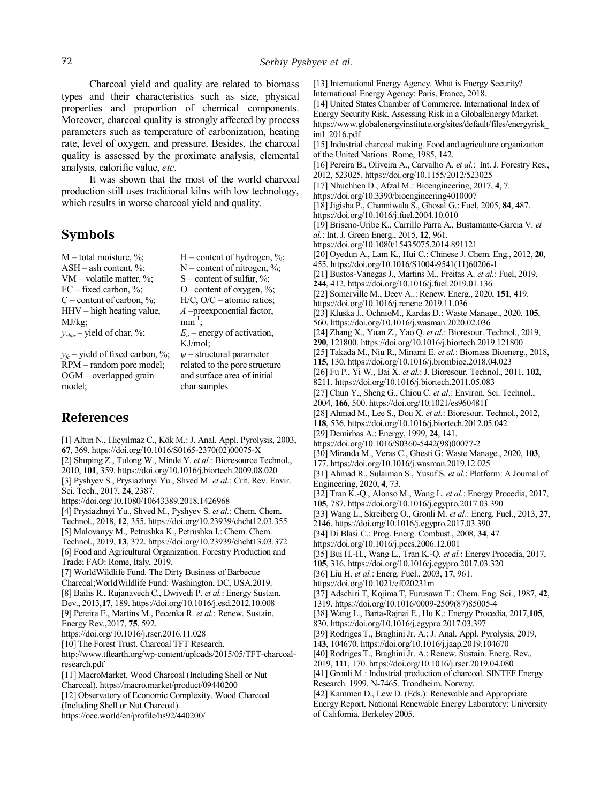Charcoal yield and quality are related to biomass types and their characteristics such as size, physical properties and proportion of chemical components. Moreover, charcoal quality is strongly affected by process parameters such as temperature of carbonization, heating rate, level of oxygen, and pressure. Besides, the charcoal quality is assessed by the proximate analysis, elemental analysis, calorific value, *etc*.

It was shown that the most of the world charcoal production still uses traditional kilns with low technology, which results in worse charcoal yield and quality.

## **Symbols**

 $M$  – total moisture, %; H – content of hydrogen, %; ASH – ash content,  $\%$ ; N – content of nitrogen,  $\%$ ; VM – volatile matter,  $\%$ ; S – content of sulfur,  $\%$ ; FC – fixed carbon,  $\%$ ; O– content of oxygen,  $\%$ ;  $C$  – content of carbon, %; H/C,  $O/C$  – atomic ratios; HHV – high heating value, MJ/kg; *A* –preexponential factor,  $\min^{-1}$ ;  $y_{char}$  – yield of char, %;  $E_a$  – energy of activation, KJ/mol;  $y_f$ <sup> $\sim$ </sup> – yield of fixed carbon, %; RPM – random pore model; *ψ* – structural parameter related to the pore structure

and surface area of initial

char samples

**References** 

model;

OGM – overlapped grain

[1] Altun N., Hiçyılmaz C., Kök M.: J. Anal. Appl. Pyrolysis, 2003, **67**, 369. https://doi.org/10.1016/S0165-2370(02)00075-X [2] Shuping Z., Tulong W., Minde Y. *et al.*: Bioresource Technol., 2010, **101**, 359. https://doi.org/10.1016/j.biortech.2009.08.020 [3] Pyshyev S., Prysiazhnyi Yu., Shved M. *et al.*: Сrit. Rev. Envir. Sci. Tech., 2017, **24**, 2387. https://doi.org/10.1080/10643389.2018.1426968 [4] Prysiazhnyi Yu., Shved M., Pyshyev S. *et al.*: Chem. Chem. Technol., 2018, **12**, 355. https://doi.org/10.23939/chcht12.03.355 [5] Malovanyy M., Petrushka K., Petrushka I.: Chem. Chem. Technol., 2019, **13**, 372. https://doi.org/10.23939/chcht13.03.372 [6] Food and Agricultural Organization. Forestry Production and Trade; FAO: Rome, Italy, 2019. [7] WorldWildlife Fund. The Dirty Business of Barbecue Charcoal;WorldWildlife Fund: Washington, DC, USA,2019. [8] Bailis R., Rujanavech C., Dwivedi P. *et al.*: Energy Sustain. Dev., 2013,**17**, 189. https://doi.org/10.1016/j.esd.2012.10.008 [9] Pereira E., Martins M., Pecenka R. *et al.*: Renew. Sustain. Energy Rev.,2017, **75**, 592. https://doi.org/10.1016/j.rser.2016.11.028 [10] The Forest Trust. Charcoal TFT Research. http://www.tftearth.org/wp-content/uploads/2015/05/TFT-charcoalresearch.pdf [11] MacroMarket. Wood Charcoal (Including Shell or Nut Charcoal). https://macro.market/product/09440200 [12] Observatory of Economic Complexity. Wood Charcoal (Including Shell or Nut Charcoal). https://oec.world/en/profile/hs92/440200/

[13] International Energy Agency. What is Energy Security? International Energy Agency: Paris, France, 2018. [14] United States Chamber of Commerce. International Index of Energy Security Risk. Assessing Risk in a GlobalEnergy Market. https://www.globalenergyinstitute.org/sites/default/files/energyrisk\_ intl\_2016.pdf [15] Industrial charcoal making. Food and agriculture organization of the United Nations. Rome, 1985, 142. [16] Pereira B., Oliveira A., Carvalho A. *et al.*: Int. J. Forestry Res., 2012, 523025. https://doi.org/10.1155/2012/523025 [17] Nhuchhen D., Afzal M.: Bioengineering, 2017, **4**, 7. https://doi.org/10.3390/bioengineering4010007 [18]Jigisha P., Channiwala S., Ghosal G.: Fuel, 2005, **84**, 487. https://doi.org/10.1016/j.fuel.2004.10.010 [19] Briseno-Uribe K., Carrillo Parra A., Bustamante-Garcia V. *et al.*: Int. J. Green Energ., 2015, **12**, 961. https://doi.org/10.1080/15435075.2014.891121 [20] Oyedun A., Lam K., Hui C.: Chinese J. Chem. Eng., 2012, **20**, 455. https://doi.org/10.1016/S1004-9541(11)60206-1 [21] Bustos-Vanegas J., Martins M., Freitas A. *et al.*: Fuel, 2019, **244**, 412. https://doi.org/10.1016/j.fuel.2019.01.136 [22] Somerville M., Deev A..: Renew. Energ., 2020, **151**, 419. https://doi.org/10.1016/j.renene.2019.11.036 [23] Kluska J., OchnioM., Kardas D.: Waste Manage., 2020, **105**, 560. https://doi.org/10.1016/j.wasman.2020.02.036 [24] Zhang X., Yuan Z., Yao Q. *et al*.: Bioresour. Technol., 2019, **290**, 121800. https://doi.org/10.1016/j.biortech.2019.121800 [25] Takada M., Niu R., Minami E. *et al.*: Biomass Bioenerg., 2018, **115**, 130. https://doi.org/10.1016/j.biombioe.2018.04.023 [26] Fu P., Yi W., Bai X. *et al.*: J. Bioresour. Technol., 2011, **102**, 8211. https://doi.org/10.1016/j.biortech.2011.05.083 [27] Chun Y., Sheng G., Chiou C. *et al*.: Environ. Sci. Technol., 2004, **166**, 500. https://doi.org/10.1021/es960481f [28] Ahmad M., Lee S., Dou X. *et al.*: Bioresour. Technol., 2012, **118**, 536. https://doi.org/10.1016/j.biortech.2012.05.042 [29] Demirbas A.: Energy, 1999, **24**, 141. https://doi.org/10.1016/S0360-5442(98)00077-2 [30] Miranda M., Veras C., Ghesti G: Waste Manage., 2020, **103**, 177. https://doi.org/10.1016/j.wasman.2019.12.025 [31] Ahmad R., Sulaiman S., Yusuf S. *et al.*: Platform: A Journal of Engineering, 2020, **4**, 73. [32] Tran K.-Q., Alonso M., Wang L. *et al.*: Energy Procedia, 2017, **105**, 787. https://doi.org/10.1016/j.egypro.2017.03.390 [33] Wang L., Skreiberg O., Gronli M. *et al.*: Energ. Fuel., 2013, **27**, 2146. https://doi.org/10.1016/j.egypro.2017.03.390 [34] Di Blasi C.: Prog. Energ. Combust., 2008, **34**, 47. https://doi.org/10.1016/j.pecs.2006.12.001 [35] Bui H.-H., Wang L., Tran K.-Q. *et al.*: Energy Procedia, 2017, **105**, 316. https://doi.org/10.1016/j.egypro.2017.03.320 [36] Liu H. *et al.*: Energ. Fuel., 2003, **17**, 961. https://doi.org/10.1021/ef020231m [37] Adschiri T, Kojima T, Furusawa T.: Chem. Eng. Sci., 1987, **42**, 1319. https://doi.org/10.1016/0009-2509(87)85005-4 [38] Wang L., Barta-Rajnai E., Hu K.: Energy Procedia, 2017,**105**, 830. https://doi.org/10.1016/j.egypro.2017.03.397 [39] Rodriges T., Braghini Jr. A.: J. Anal. Appl. Pyrolysis, 2019, **143**, 104670. https://doi.org/10.1016/j.jaap.2019.104670 [40] Rodriges T., Braghini Jr. A.: Renew. Sustain. Energ. Rev., 2019, **111**, 170. https://doi.org/10.1016/j.rser.2019.04.080 [41] Gronli M.: Industrial production of charcoal. SINTEF Energy Research. 1999. N-7465. Trondheim. Norway. [42] Kammen D., Lew D. (Eds.): Renewable and Appropriate Energy Report. National Renewable Energy Laboratory: University

of California, Berkeley 2005.